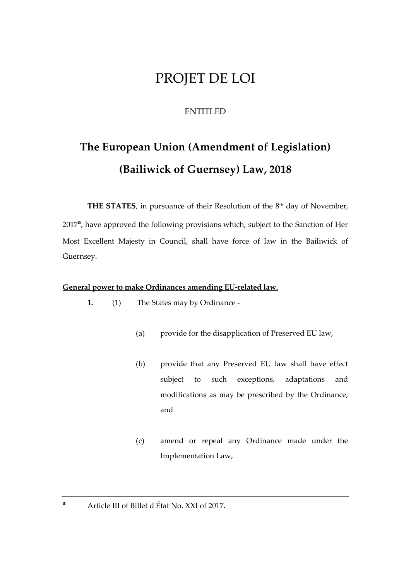# PROJET DE LOI

## ENTITLED

# **The European Union (Amendment of Legislation) (Bailiwick of Guernsey) Law, 2018**

**THE STATES**, in pursuance of their Resolution of the 8<sup>th</sup> day of November,

2017<sup>a</sup>, have approved the following provisions which, subject to the Sanction of Her Most Excellent Majesty in Council, shall have force of law in the Bailiwick of Guernsey.

#### **General power to make Ordinances amending EU-related law.**

- **1.** (1) The States may by Ordinance
	- (a) provide for the disapplication of Preserved EU law,
	- (b) provide that any Preserved EU law shall have effect subject to such exceptions, adaptations and modifications as may be prescribed by the Ordinance, and
	- (c) amend or repeal any Ordinance made under the Implementation Law,
- **<sup>a</sup>** Article III of Billet d'État No. XXI of 2017.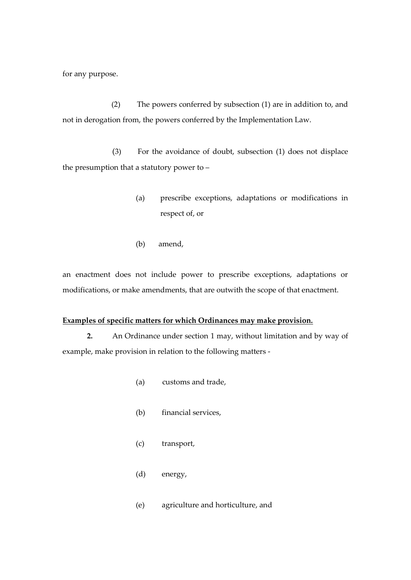for any purpose.

(2) The powers conferred by subsection (1) are in addition to, and not in derogation from, the powers conferred by the Implementation Law.

(3) For the avoidance of doubt, subsection (1) does not displace the presumption that a statutory power to –

- (a) prescribe exceptions, adaptations or modifications in respect of, or
- (b) amend,

an enactment does not include power to prescribe exceptions, adaptations or modifications, or make amendments, that are outwith the scope of that enactment.

#### **Examples of specific matters for which Ordinances may make provision.**

**2.** An Ordinance under section 1 may, without limitation and by way of example, make provision in relation to the following matters -

- (a) customs and trade,
- (b) financial services,
- (c) transport,
- (d) energy,
- (e) agriculture and horticulture, and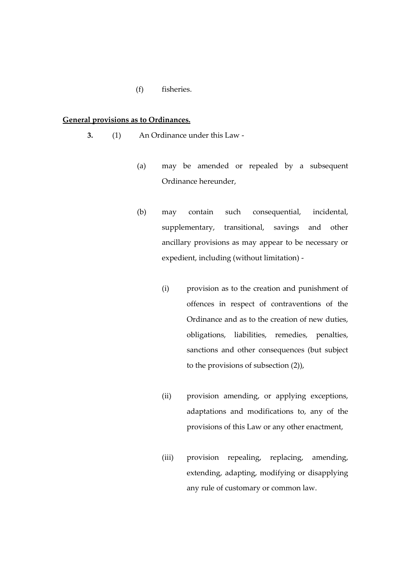(f) fisheries.

#### **General provisions as to Ordinances.**

- **3.** (1) An Ordinance under this Law
	- (a) may be amended or repealed by a subsequent Ordinance hereunder,
	- (b) may contain such consequential, incidental, supplementary, transitional, savings and other ancillary provisions as may appear to be necessary or expedient, including (without limitation) -
		- (i) provision as to the creation and punishment of offences in respect of contraventions of the Ordinance and as to the creation of new duties, obligations, liabilities, remedies, penalties, sanctions and other consequences (but subject to the provisions of subsection (2)),
		- (ii) provision amending, or applying exceptions, adaptations and modifications to, any of the provisions of this Law or any other enactment,
		- (iii) provision repealing, replacing, amending, extending, adapting, modifying or disapplying any rule of customary or common law.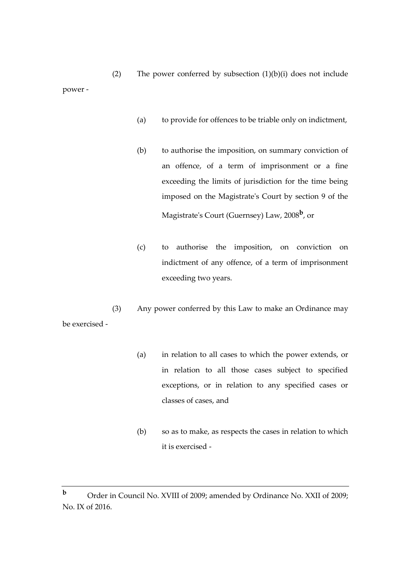- (a) to provide for offences to be triable only on indictment,
- (b) to authorise the imposition, on summary conviction of an offence, of a term of imprisonment or a fine exceeding the limits of jurisdiction for the time being imposed on the Magistrate's Court by section 9 of the Magistrate's Court (Guernsey) Law, 2008**<sup>b</sup>** , or
- (c) to authorise the imposition, on conviction on indictment of any offence, of a term of imprisonment exceeding two years.
- (3) Any power conferred by this Law to make an Ordinance may be exercised -
	- (a) in relation to all cases to which the power extends, or in relation to all those cases subject to specified exceptions, or in relation to any specified cases or classes of cases, and
	- (b) so as to make, as respects the cases in relation to which it is exercised -

**b** Order in Council No. XVIII of 2009; amended by Ordinance No. XXII of 2009; No. IX of 2016.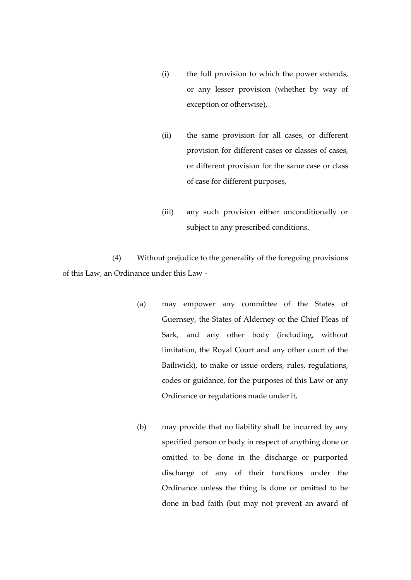- (i) the full provision to which the power extends, or any lesser provision (whether by way of exception or otherwise),
- (ii) the same provision for all cases, or different provision for different cases or classes of cases, or different provision for the same case or class of case for different purposes,
- (iii) any such provision either unconditionally or subject to any prescribed conditions.

(4) Without prejudice to the generality of the foregoing provisions of this Law, an Ordinance under this Law -

- (a) may empower any committee of the States of Guernsey, the States of Alderney or the Chief Pleas of Sark, and any other body (including, without limitation, the Royal Court and any other court of the Bailiwick), to make or issue orders, rules, regulations, codes or guidance, for the purposes of this Law or any Ordinance or regulations made under it,
- (b) may provide that no liability shall be incurred by any specified person or body in respect of anything done or omitted to be done in the discharge or purported discharge of any of their functions under the Ordinance unless the thing is done or omitted to be done in bad faith (but may not prevent an award of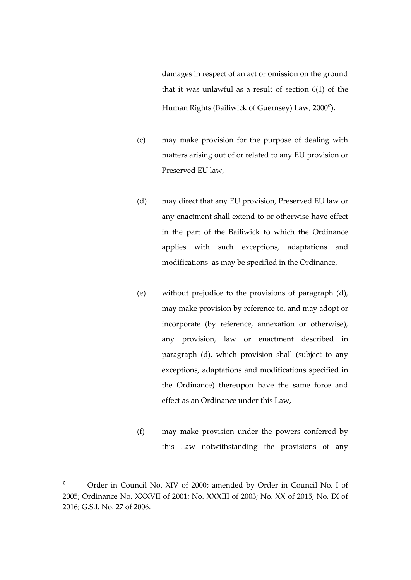damages in respect of an act or omission on the ground that it was unlawful as a result of section 6(1) of the Human Rights (Bailiwick of Guernsey) Law, 2000**<sup>c</sup>** ),

- (c) may make provision for the purpose of dealing with matters arising out of or related to any EU provision or Preserved EU law,
- (d) may direct that any EU provision, Preserved EU law or any enactment shall extend to or otherwise have effect in the part of the Bailiwick to which the Ordinance applies with such exceptions, adaptations and modifications as may be specified in the Ordinance,
- (e) without prejudice to the provisions of paragraph (d), may make provision by reference to, and may adopt or incorporate (by reference, annexation or otherwise), any provision, law or enactment described in paragraph (d), which provision shall (subject to any exceptions, adaptations and modifications specified in the Ordinance) thereupon have the same force and effect as an Ordinance under this Law,
- (f) may make provision under the powers conferred by this Law notwithstanding the provisions of any

**<sup>c</sup>** Order in Council No. XIV of 2000; amended by Order in Council No. I of 2005; Ordinance No. XXXVII of 2001; No. XXXIII of 2003; No. XX of 2015; No. IX of 2016; G.S.I. No. 27 of 2006.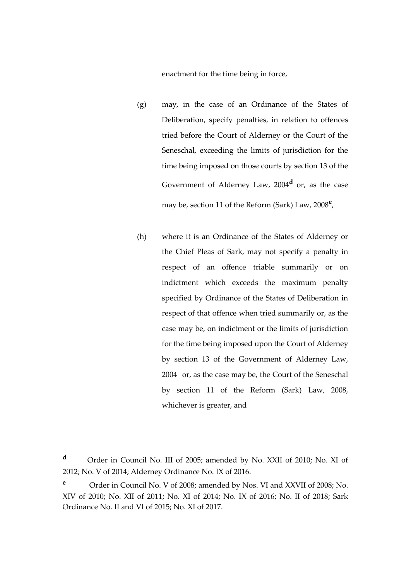enactment for the time being in force,

- (g) may, in the case of an Ordinance of the States of Deliberation, specify penalties, in relation to offences tried before the Court of Alderney or the Court of the Seneschal, exceeding the limits of jurisdiction for the time being imposed on those courts by section 13 of the Government of Alderney Law, 2004**<sup>d</sup>** or, as the case may be, section 11 of the Reform (Sark) Law, 2008**<sup>e</sup>** ,
- (h) where it is an Ordinance of the States of Alderney or the Chief Pleas of Sark, may not specify a penalty in respect of an offence triable summarily or on indictment which exceeds the maximum penalty specified by Ordinance of the States of Deliberation in respect of that offence when tried summarily or, as the case may be, on indictment or the limits of jurisdiction for the time being imposed upon the Court of Alderney by section 13 of the Government of Alderney Law, 2004 or, as the case may be, the Court of the Seneschal by section 11 of the Reform (Sark) Law, 2008, whichever is greater, and

**<sup>d</sup>** Order in Council No. III of 2005; amended by No. XXII of 2010; No. XI of 2012; No. V of 2014; Alderney Ordinance No. IX of 2016.

**<sup>e</sup>** Order in Council No. V of 2008; amended by Nos. VI and XXVII of 2008; No. XIV of 2010; No. XII of 2011; No. XI of 2014; No. IX of 2016; No. II of 2018; Sark Ordinance No. II and VI of 2015; No. XI of 2017.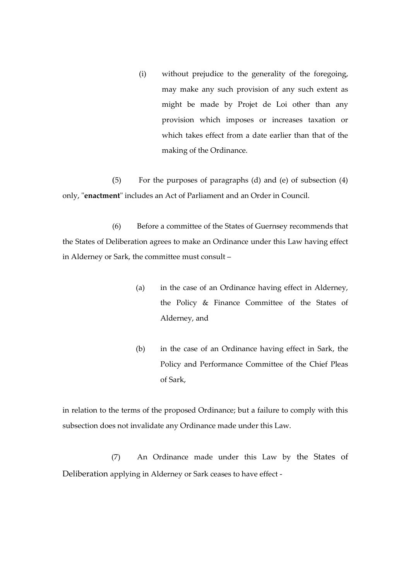(i) without prejudice to the generality of the foregoing, may make any such provision of any such extent as might be made by Projet de Loi other than any provision which imposes or increases taxation or which takes effect from a date earlier than that of the making of the Ordinance.

(5) For the purposes of paragraphs (d) and (e) of subsection (4) only, "**enactment**" includes an Act of Parliament and an Order in Council.

(6) Before a committee of the States of Guernsey recommends that the States of Deliberation agrees to make an Ordinance under this Law having effect in Alderney or Sark, the committee must consult –

- (a) in the case of an Ordinance having effect in Alderney, the Policy & Finance Committee of the States of Alderney, and
- (b) in the case of an Ordinance having effect in Sark, the Policy and Performance Committee of the Chief Pleas of Sark,

in relation to the terms of the proposed Ordinance; but a failure to comply with this subsection does not invalidate any Ordinance made under this Law.

(7) An Ordinance made under this Law by the States of Deliberation applying in Alderney or Sark ceases to have effect -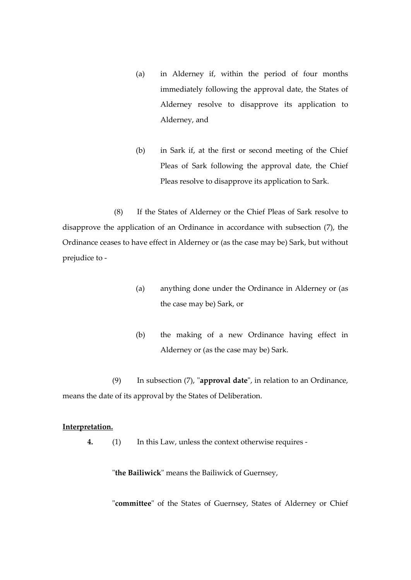- (a) in Alderney if, within the period of four months immediately following the approval date, the States of Alderney resolve to disapprove its application to Alderney, and
- (b) in Sark if, at the first or second meeting of the Chief Pleas of Sark following the approval date, the Chief Pleas resolve to disapprove its application to Sark.

(8) If the States of Alderney or the Chief Pleas of Sark resolve to disapprove the application of an Ordinance in accordance with subsection (7), the Ordinance ceases to have effect in Alderney or (as the case may be) Sark, but without prejudice to -

- (a) anything done under the Ordinance in Alderney or (as the case may be) Sark, or
- (b) the making of a new Ordinance having effect in Alderney or (as the case may be) Sark.

(9) In subsection (7), "**approval date**", in relation to an Ordinance, means the date of its approval by the States of Deliberation.

#### **Interpretation.**

**4.** (1) In this Law, unless the context otherwise requires -

"**the Bailiwick**" means the Bailiwick of Guernsey,

"**committee**" of the States of Guernsey, States of Alderney or Chief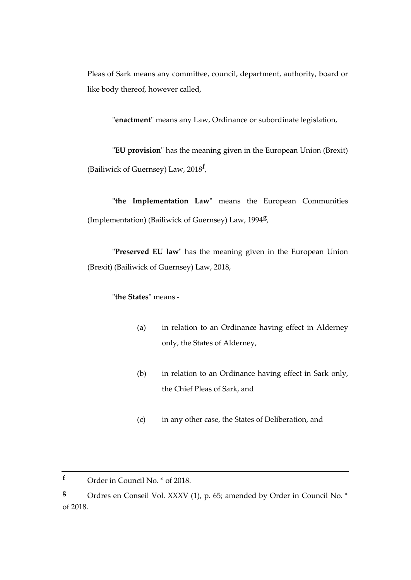Pleas of Sark means any committee, council, department, authority, board or like body thereof, however called,

"**enactment**" means any Law, Ordinance or subordinate legislation,

"**EU provision**" has the meaning given in the European Union (Brexit) (Bailiwick of Guernsey) Law, 2018**<sup>f</sup>** ,

**"the Implementation Law**" means the European Communities (Implementation) (Bailiwick of Guernsey) Law, 1994**<sup>g</sup>** ,

"**Preserved EU law**" has the meaning given in the European Union (Brexit) (Bailiwick of Guernsey) Law, 2018,

## "**the States**" means -

- (a) in relation to an Ordinance having effect in Alderney only, the States of Alderney,
- (b) in relation to an Ordinance having effect in Sark only, the Chief Pleas of Sark, and
- (c) in any other case, the States of Deliberation, and

**<sup>g</sup>** Ordres en Conseil Vol. XXXV (1), p. 65; amended by Order in Council No. \* of 2018.

**<sup>f</sup>** Order in Council No. \* of 2018.